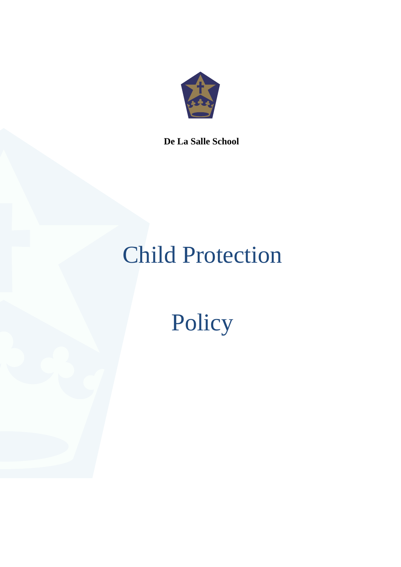

**De La Salle School**

# Child Protection

Policy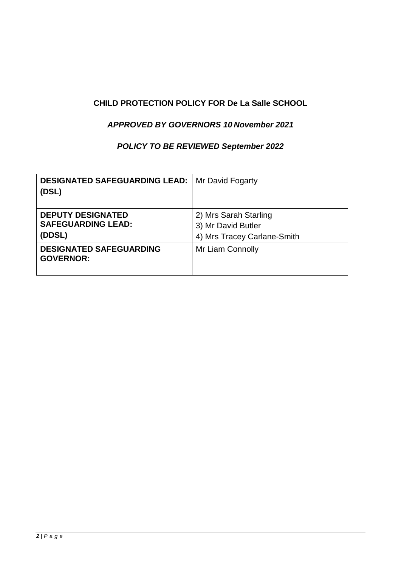# **CHILD PROTECTION POLICY FOR De La Salle SCHOOL**

# *APPROVED BY GOVERNORS 10 November 2021*

# *POLICY TO BE REVIEWED September 2022*

| <b>DESIGNATED SAFEGUARDING LEAD:</b><br>(DSL)                   | Mr David Fogarty                                                           |
|-----------------------------------------------------------------|----------------------------------------------------------------------------|
| <b>DEPUTY DESIGNATED</b><br><b>SAFEGUARDING LEAD:</b><br>(DDSL) | 2) Mrs Sarah Starling<br>3) Mr David Butler<br>4) Mrs Tracey Carlane-Smith |
| <b>DESIGNATED SAFEGUARDING</b><br><b>GOVERNOR:</b>              | Mr Liam Connolly                                                           |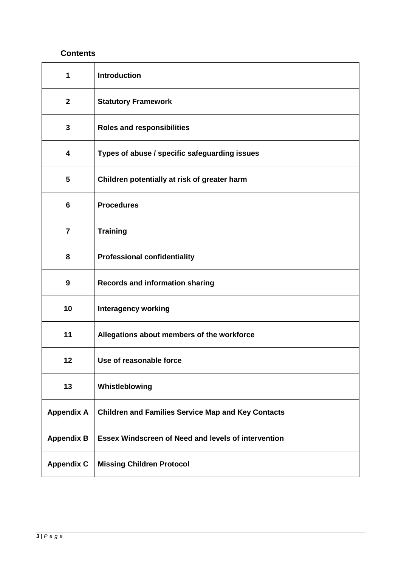# **Contents**

| 1                       | <b>Introduction</b>                                        |
|-------------------------|------------------------------------------------------------|
| $\mathbf{2}$            | <b>Statutory Framework</b>                                 |
| 3                       | <b>Roles and responsibilities</b>                          |
| 4                       | Types of abuse / specific safeguarding issues              |
| 5                       | Children potentially at risk of greater harm               |
| 6                       | <b>Procedures</b>                                          |
| $\overline{\mathbf{7}}$ | <b>Training</b>                                            |
| 8                       | <b>Professional confidentiality</b>                        |
| $\boldsymbol{9}$        | <b>Records and information sharing</b>                     |
| 10                      | <b>Interagency working</b>                                 |
| 11                      | Allegations about members of the workforce                 |
| 12                      | Use of reasonable force                                    |
| 13                      | Whistleblowing                                             |
| <b>Appendix A</b>       | <b>Children and Families Service Map and Key Contacts</b>  |
| <b>Appendix B</b>       | <b>Essex Windscreen of Need and levels of intervention</b> |
| <b>Appendix C</b>       | <b>Missing Children Protocol</b>                           |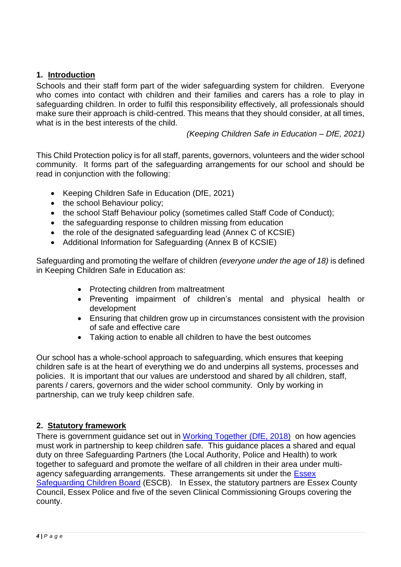# **1. Introduction**

Schools and their staff form part of the wider safeguarding system for children. Everyone who comes into contact with children and their families and carers has a role to play in safeguarding children. In order to fulfil this responsibility effectively, all professionals should make sure their approach is child-centred. This means that they should consider, at all times, what is in the best interests of the child.

*(Keeping Children Safe in Education – DfE, 2021)*

This Child Protection policy is for all staff, parents, governors, volunteers and the wider school community. It forms part of the safeguarding arrangements for our school and should be read in conjunction with the following:

- Keeping Children Safe in Education (DfE, 2021)
- the school Behaviour policy:
- the school Staff Behaviour policy (sometimes called Staff Code of Conduct);
- the safeguarding response to children missing from education
- the role of the designated safeguarding lead (Annex C of KCSIE)
- Additional Information for Safeguarding (Annex B of KCSIE)

Safeguarding and promoting the welfare of children *(everyone under the age of 18)* is defined in Keeping Children Safe in Education as:

- Protecting children from maltreatment
- Preventing impairment of children's mental and physical health or development
- Ensuring that children grow up in circumstances consistent with the provision of safe and effective care
- Taking action to enable all children to have the best outcomes

Our school has a whole-school approach to safeguarding, which ensures that keeping children safe is at the heart of everything we do and underpins all systems, processes and policies. It is important that our values are understood and shared by all children, staff, parents / carers, governors and the wider school community. Only by working in partnership, can we truly keep children safe.

# **2. Statutory framework**

There is government guidance set out in [Working Together \(DfE, 2018\)](https://assets.publishing.service.gov.uk/government/uploads/system/uploads/attachment_data/file/942454/Working_together_to_safeguard_children_inter_agency_guidance.pdf) on how agencies must work in partnership to keep children safe. This guidance places a shared and equal duty on three Safeguarding Partners (the Local Authority, Police and Health) to work together to safeguard and promote the welfare of all children in their area under multiagency safeguarding arrangements. These arrangements sit under the [Essex](http://www.escb.co.uk/Home.aspx)  [Safeguarding Children Board](http://www.escb.co.uk/Home.aspx) (ESCB). In Essex, the statutory partners are Essex County Council, Essex Police and five of the seven Clinical Commissioning Groups covering the county.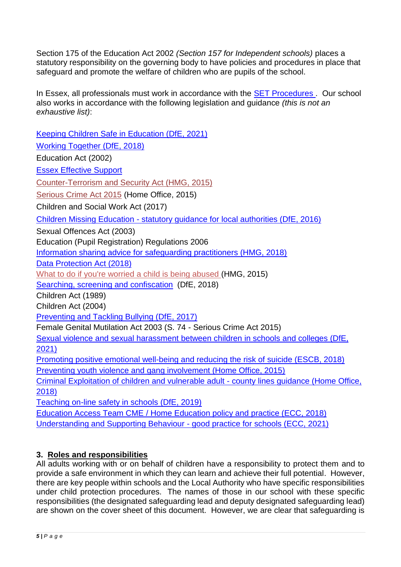Section 175 of the Education Act 2002 *(Section 157 for Independent schools)* places a statutory responsibility on the governing body to have policies and procedures in place that safeguard and promote the welfare of children who are pupils of the school.

In Essex, all professionals must work in accordance with the [SET Procedures .](http://www.escb.co.uk/) Our school also works in accordance with the following legislation and guidance *(this is not an exhaustive list)*:

[Keeping Children Safe in Education \(DfE, 2021\)](https://www.gov.uk/government/publications/keeping-children-safe-in-education--2) [Working Together \(DfE, 2018\)](https://assets.publishing.service.gov.uk/government/uploads/system/uploads/attachment_data/file/942454/Working_together_to_safeguard_children_inter_agency_guidance.pdf) Education Act (2002) [Essex Effective Support](https://www.essexeffectivesupport.org.uk/home/)  [Counter-Terrorism and Security Act \(HMG, 2015\)](http://www.legislation.gov.uk/ukpga/2015/6/contents) [Serious Crime Act 2015](https://www.gov.uk/government/collections/serious-crime-bill) (Home Office, 2015) Children and Social Work Act (2017) Children Missing Education - [statutory guidance for local authorities \(DfE, 2016\)](https://assets.publishing.service.gov.uk/government/uploads/system/uploads/attachment_data/file/550416/Children_Missing_Education_-_statutory_guidance.pdf) Sexual Offences Act (2003) Education (Pupil Registration) Regulations 2006 [Information sharing advice for safeguarding practitioners \(HMG, 2018\)](https://assets.publishing.service.gov.uk/government/uploads/system/uploads/attachment_data/file/721581/Information_sharing_advice_practitioners_safeguarding_services.pdf) [Data Protection Act \(2018\)](http://www.legislation.gov.uk/ukpga/2018/12/pdfs/ukpga_20180012_en.pdf) [What to do if you're worried a child is being abused \(](https://www.gov.uk/government/uploads/system/uploads/attachment_data/file/419604/What_to_do_if_you_re_worried_a_child_is_being_abused.pdf)HMG, 2015) [Searching, screening and confiscation](https://assets.publishing.service.gov.uk/government/uploads/system/uploads/attachment_data/file/674416/Searching_screening_and_confiscation.pdf) (DfE, 2018) Children Act (1989) Children Act (2004) [Preventing and Tackling Bullying \(DfE, 2017\)](https://www.gov.uk/government/uploads/system/uploads/attachment_data/file/623895/Preventing_and_tackling_bullying_advice.pdf) Female Genital Mutilation Act 2003 (S. 74 - Serious Crime Act 2015) [Sexual violence and sexual harassment between children in schools and colleges \(DfE,](https://www.gov.uk/government/publications/sexual-violence-and-sexual-harassment-between-children-in-schools-and-colleges)  [2021\)](https://www.gov.uk/government/publications/sexual-violence-and-sexual-harassment-between-children-in-schools-and-colleges) [Promoting positive emotional well-being and reducing the risk of suicide \(ESCB, 2018\)](https://schools.essex.gov.uk/pupils/Safeguarding/Emotional_Wellbeing_and_Mental_Health/Documents/Promoting%20Positive%20Emotional%20Well-being%20and%20Reducing%20the%20Risk%20of%20Suicide%20-%20Autumn%202018.pdf) [Preventing youth violence and gang involvement \(Home Office, 2015\)](https://assets.publishing.service.gov.uk/government/uploads/system/uploads/attachment_data/file/418131/Preventing_youth_violence_and_gang_involvement_v3_March2015.pdf) [Criminal Exploitation of children and vulnerable adult -](https://assets.publishing.service.gov.uk/government/uploads/system/uploads/attachment_data/file/741194/HOCountyLinesGuidanceSept2018.pdf) county lines guidance (Home Office, [2018\)](https://assets.publishing.service.gov.uk/government/uploads/system/uploads/attachment_data/file/741194/HOCountyLinesGuidanceSept2018.pdf) [Teaching on-line safety in schools \(DfE, 2019\)](https://assets.publishing.service.gov.uk/government/uploads/system/uploads/attachment_data/file/811796/Teaching_online_safety_in_school.pdf) Education Access Team CME [/ Home Education policy and practice \(ECC, 2018\)](https://schools.essex.gov.uk/pupils/Education_Access/Documents/Education%20Access%20-%20CME%20and%20EHE%20Team%20-%20Policy%20and%20Practice%20Guidance%20document.pdf) [Understanding and Supporting Behaviour -](https://schools.essex.gov.uk/pupils/Safeguarding/Pages/understanding-and-supporting-behaviour.aspx) good practice for schools (ECC, 2021)

# **3. Roles and responsibilities**

All adults working with or on behalf of children have a responsibility to protect them and to provide a safe environment in which they can learn and achieve their full potential. However, there are key people within schools and the Local Authority who have specific responsibilities under child protection procedures. The names of those in our school with these specific responsibilities (the designated safeguarding lead and deputy designated safeguarding lead) are shown on the cover sheet of this document. However, we are clear that safeguarding is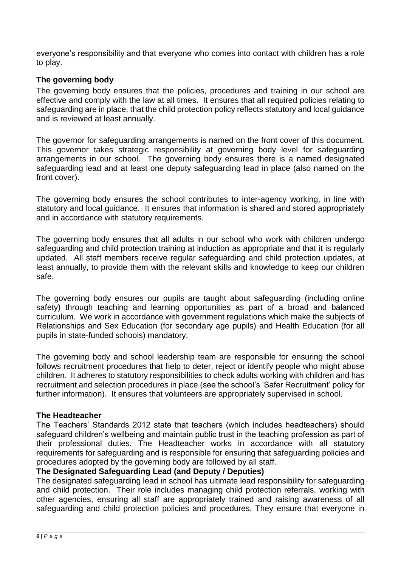everyone's responsibility and that everyone who comes into contact with children has a role to play.

#### **The governing body**

The governing body ensures that the policies, procedures and training in our school are effective and comply with the law at all times. It ensures that all required policies relating to safeguarding are in place, that the child protection policy reflects statutory and local guidance and is reviewed at least annually.

The governor for safeguarding arrangements is named on the front cover of this document. This governor takes strategic responsibility at governing body level for safeguarding arrangements in our school. The governing body ensures there is a named designated safeguarding lead and at least one deputy safeguarding lead in place (also named on the front cover).

The governing body ensures the school contributes to inter-agency working, in line with statutory and local guidance. It ensures that information is shared and stored appropriately and in accordance with statutory requirements.

The governing body ensures that all adults in our school who work with children undergo safeguarding and child protection training at induction as appropriate and that it is regularly updated. All staff members receive regular safeguarding and child protection updates, at least annually, to provide them with the relevant skills and knowledge to keep our children safe.

The governing body ensures our pupils are taught about safeguarding (including online safety) through teaching and learning opportunities as part of a broad and balanced curriculum. We work in accordance with government regulations which make the subjects of Relationships and Sex Education (for secondary age pupils) and Health Education (for all pupils in state-funded schools) mandatory.

The governing body and school leadership team are responsible for ensuring the school follows recruitment procedures that help to deter, reject or identify people who might abuse children. It adheres to statutory responsibilities to check adults working with children and has recruitment and selection procedures in place (see the school's 'Safer Recruitment' policy for further information). It ensures that volunteers are appropriately supervised in school.

#### **The Headteacher**

The Teachers' Standards 2012 state that teachers (which includes headteachers) should safeguard children's wellbeing and maintain public trust in the teaching profession as part of their professional duties. The Headteacher works in accordance with all statutory requirements for safeguarding and is responsible for ensuring that safeguarding policies and procedures adopted by the governing body are followed by all staff.

#### **The Designated Safeguarding Lead (and Deputy / Deputies)**

The designated safeguarding lead in school has ultimate lead responsibility for safeguarding and child protection. Their role includes managing child protection referrals, working with other agencies, ensuring all staff are appropriately trained and raising awareness of all safeguarding and child protection policies and procedures. They ensure that everyone in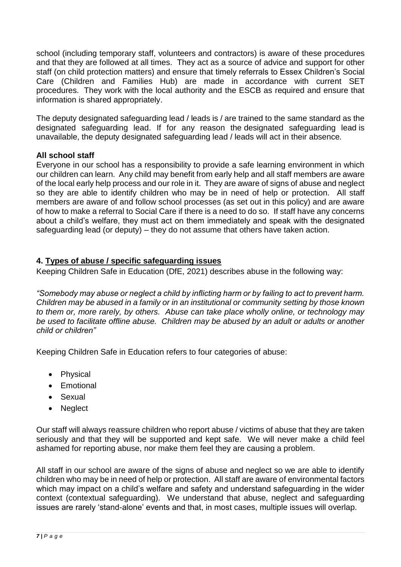school (including temporary staff, volunteers and contractors) is aware of these procedures and that they are followed at all times. They act as a source of advice and support for other staff (on child protection matters) and ensure that timely referrals to Essex Children's Social Care (Children and Families Hub) are made in accordance with current SET procedures. They work with the local authority and the ESCB as required and ensure that information is shared appropriately.

The deputy designated safeguarding lead / leads is / are trained to the same standard as the designated safeguarding lead. If for any reason the designated safeguarding lead is unavailable, the deputy designated safeguarding lead / leads will act in their absence*.* 

# **All school staff**

Everyone in our school has a responsibility to provide a safe learning environment in which our children can learn. Any child may benefit from early help and all staff members are aware of the local early help process and our role in it. They are aware of signs of abuse and neglect so they are able to identify children who may be in need of help or protection. All staff members are aware of and follow school processes (as set out in this policy) and are aware of how to make a referral to Social Care if there is a need to do so. If staff have any concerns about a child's welfare, they must act on them immediately and speak with the designated safeguarding lead (or deputy) – they do not assume that others have taken action.

## **4. Types of abuse / specific safeguarding issues**

Keeping Children Safe in Education (DfE, 2021) describes abuse in the following way:

*"Somebody may abuse or neglect a child by inflicting harm or by failing to act to prevent harm. Children may be abused in a family or in an institutional or community setting by those known to them or, more rarely, by others. Abuse can take place wholly online, or technology may be used to facilitate offline abuse. Children may be abused by an adult or adults or another child or children"*

Keeping Children Safe in Education refers to four categories of abuse:

- Physical
- Emotional
- Sexual
- Neglect

Our staff will always reassure children who report abuse / victims of abuse that they are taken seriously and that they will be supported and kept safe. We will never make a child feel ashamed for reporting abuse, nor make them feel they are causing a problem.

All staff in our school are aware of the signs of abuse and neglect so we are able to identify children who may be in need of help or protection. All staff are aware of environmental factors which may impact on a child's welfare and safety and understand safeguarding in the wider context (contextual safeguarding). We understand that abuse, neglect and safeguarding issues are rarely 'stand-alone' events and that, in most cases, multiple issues will overlap.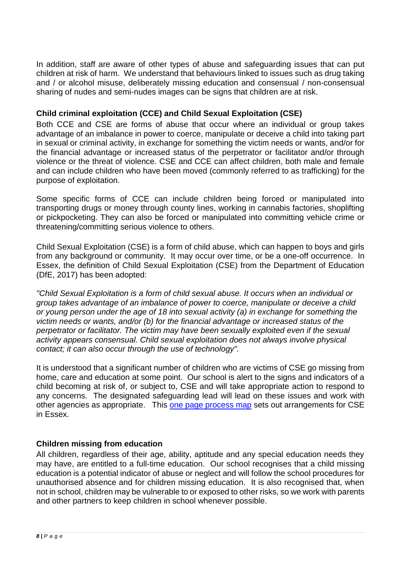In addition, staff are aware of other types of abuse and safeguarding issues that can put children at risk of harm. We understand that behaviours linked to issues such as drug taking and / or alcohol misuse, deliberately missing education and consensual / non-consensual sharing of nudes and semi-nudes images can be signs that children are at risk.

## **Child criminal exploitation (CCE) and Child Sexual Exploitation (CSE)**

Both CCE and CSE are forms of abuse that occur where an individual or group takes advantage of an imbalance in power to coerce, manipulate or deceive a child into taking part in sexual or criminal activity, in exchange for something the victim needs or wants, and/or for the financial advantage or increased status of the perpetrator or facilitator and/or through violence or the threat of violence. CSE and CCE can affect children, both male and female and can include children who have been moved (commonly referred to as trafficking) for the purpose of exploitation.

Some specific forms of CCE can include children being forced or manipulated into transporting drugs or money through county lines, working in cannabis factories, shoplifting or pickpocketing. They can also be forced or manipulated into committing vehicle crime or threatening/committing serious violence to others.

Child Sexual Exploitation (CSE) is a form of child abuse, which can happen to boys and girls from any background or community. It may occur over time, or be a one-off occurrence. In Essex, the definition of Child Sexual Exploitation (CSE) from the Department of Education (DfE, 2017) has been adopted:

*"Child Sexual Exploitation is a form of child sexual abuse. It occurs when an individual or group takes advantage of an imbalance of power to coerce, manipulate or deceive a child or young person under the age of 18 into sexual activity (a) in exchange for something the victim needs or wants, and/or (b) for the financial advantage or increased status of the perpetrator or facilitator. The victim may have been sexually exploited even if the sexual activity appears consensual. Child sexual exploitation does not always involve physical contact; it can also occur through the use of technology".*

It is understood that a significant number of children who are victims of CSE go missing from home, care and education at some point. Our school is alert to the signs and indicators of a child becoming at risk of, or subject to, CSE and will take appropriate action to respond to any concerns. The designated safeguarding lead will lead on these issues and work with other agencies as appropriate. This [one page process map](https://www.escb.co.uk/media/2075/cse-1-pager-sept-2019.pdf) sets out arrangements for CSE in Essex.

# **Children missing from education**

All children, regardless of their age, ability, aptitude and any special education needs they may have, are entitled to a full-time education. Our school recognises that a child missing education is a potential indicator of abuse or neglect and will follow the school procedures for unauthorised absence and for children missing education. It is also recognised that, when not in school, children may be vulnerable to or exposed to other risks, so we work with parents and other partners to keep children in school whenever possible.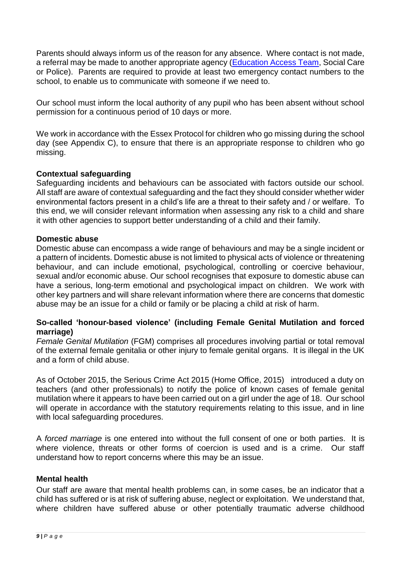Parents should always inform us of the reason for any absence. Where contact is not made, a referral may be made to another appropriate agency [\(Education Access Team,](https://schools.essex.gov.uk/pupils/Education_Access/Pages/default.aspx) Social Care or Police). Parents are required to provide at least two emergency contact numbers to the school, to enable us to communicate with someone if we need to.

Our school must inform the local authority of any pupil who has been absent without school permission for a continuous period of 10 days or more.

We work in accordance with the Essex Protocol for children who go missing during the school day (see Appendix C), to ensure that there is an appropriate response to children who go missing.

## **Contextual safeguarding**

Safeguarding incidents and behaviours can be associated with factors outside our school. All staff are aware of contextual safeguarding and the fact they should consider whether wider environmental factors present in a child's life are a threat to their safety and / or welfare. To this end, we will consider relevant information when assessing any risk to a child and share it with other agencies to support better understanding of a child and their family.

#### **Domestic abuse**

Domestic abuse can encompass a wide range of behaviours and may be a single incident or a pattern of incidents. Domestic abuse is not limited to physical acts of violence or threatening behaviour, and can include emotional, psychological, controlling or coercive behaviour, sexual and/or economic abuse. Our school recognises that exposure to domestic abuse can have a serious, long-term emotional and psychological impact on children. We work with other key partners and will share relevant information where there are concerns that domestic abuse may be an issue for a child or family or be placing a child at risk of harm.

#### **So-called 'honour-based violence' (including Female Genital Mutilation and forced marriage)**

*Female Genital Mutilation* (FGM) comprises all procedures involving partial or total removal of the external female genitalia or other injury to female genital organs. It is illegal in the UK and a form of child abuse.

As of October 2015, the Serious Crime Act 2015 (Home Office, 2015) introduced a duty on teachers (and other professionals) to notify the police of known cases of female genital mutilation where it appears to have been carried out on a girl under the age of 18. Our school will operate in accordance with the statutory requirements relating to this issue, and in line with local safeguarding procedures.

A *forced marriage* is one entered into without the full consent of one or both parties. It is where violence, threats or other forms of coercion is used and is a crime. Our staff understand how to report concerns where this may be an issue.

#### **Mental health**

Our staff are aware that mental health problems can, in some cases, be an indicator that a child has suffered or is at risk of suffering abuse, neglect or exploitation. We understand that, where children have suffered abuse or other potentially traumatic adverse childhood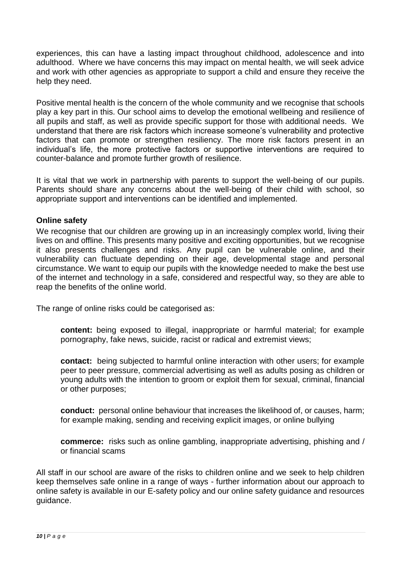experiences, this can have a lasting impact throughout childhood, adolescence and into adulthood. Where we have concerns this may impact on mental health, we will seek advice and work with other agencies as appropriate to support a child and ensure they receive the help they need.

Positive mental health is the concern of the whole community and we recognise that schools play a key part in this. Our school aims to develop the emotional wellbeing and resilience of all pupils and staff, as well as provide specific support for those with additional needs. We understand that there are risk factors which increase someone's vulnerability and protective factors that can promote or strengthen resiliency. The more risk factors present in an individual's life, the more protective factors or supportive interventions are required to counter-balance and promote further growth of resilience.

It is vital that we work in partnership with parents to support the well-being of our pupils. Parents should share any concerns about the well-being of their child with school, so appropriate support and interventions can be identified and implemented.

#### **Online safety**

We recognise that our children are growing up in an increasingly complex world, living their lives on and offline. This presents many positive and exciting opportunities, but we recognise it also presents challenges and risks. Any pupil can be vulnerable online, and their vulnerability can fluctuate depending on their age, developmental stage and personal circumstance. We want to equip our pupils with the knowledge needed to make the best use of the internet and technology in a safe, considered and respectful way, so they are able to reap the benefits of the online world.

The range of online risks could be categorised as:

**content:** being exposed to illegal, inappropriate or harmful material; for example pornography, fake news, suicide, racist or radical and extremist views;

**contact:** being subjected to harmful online interaction with other users; for example peer to peer pressure, commercial advertising as well as adults posing as children or young adults with the intention to groom or exploit them for sexual, criminal, financial or other purposes;

**conduct:** personal online behaviour that increases the likelihood of, or causes, harm; for example making, sending and receiving explicit images, or online bullying

**commerce:** risks such as online gambling, inappropriate advertising, phishing and / or financial scams

All staff in our school are aware of the risks to children online and we seek to help children keep themselves safe online in a range of ways - further information about our approach to online safety is available in our E-safety policy and our online safety guidance and resources guidance.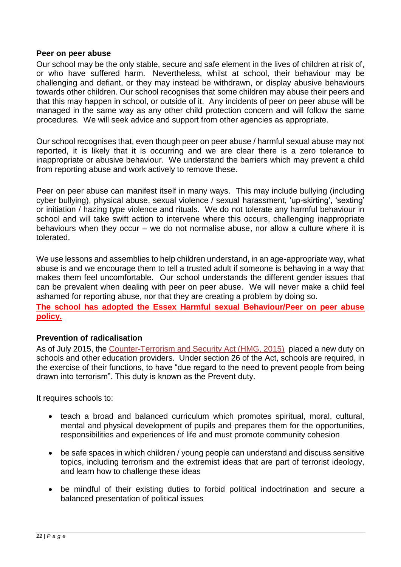#### **Peer on peer abuse**

Our school may be the only stable, secure and safe element in the lives of children at risk of, or who have suffered harm. Nevertheless, whilst at school, their behaviour may be challenging and defiant, or they may instead be withdrawn, or display abusive behaviours towards other children. Our school recognises that some children may abuse their peers and that this may happen in school, or outside of it. Any incidents of peer on peer abuse will be managed in the same way as any other child protection concern and will follow the same procedures. We will seek advice and support from other agencies as appropriate.

Our school recognises that, even though peer on peer abuse / harmful sexual abuse may not reported, it is likely that it is occurring and we are clear there is a zero tolerance to inappropriate or abusive behaviour. We understand the barriers which may prevent a child from reporting abuse and work actively to remove these.

Peer on peer abuse can manifest itself in many ways. This may include bullying (including cyber bullying), physical abuse, sexual violence / sexual harassment, 'up-skirting', 'sexting' or initiation / hazing type violence and rituals. We do not tolerate any harmful behaviour in school and will take swift action to intervene where this occurs, challenging inappropriate behaviours when they occur – we do not normalise abuse, nor allow a culture where it is tolerated.

We use lessons and assemblies to help children understand, in an age-appropriate way, what abuse is and we encourage them to tell a trusted adult if someone is behaving in a way that makes them feel uncomfortable. Our school understands the different gender issues that can be prevalent when dealing with peer on peer abuse. We will never make a child feel ashamed for reporting abuse, nor that they are creating a problem by doing so.

**The school has adopted the Essex Harmful sexual Behaviour/Peer on peer abuse policy.** 

#### **Prevention of radicalisation**

As of July 2015, the [Counter-Terrorism and Security Act \(HMG, 2015\)](http://www.legislation.gov.uk/ukpga/2015/6/contents) placed a new duty on schools and other education providers. Under section 26 of the Act, schools are required, in the exercise of their functions, to have "due regard to the need to prevent people from being drawn into terrorism". This duty is known as the Prevent duty.

It requires schools to:

- teach a broad and balanced curriculum which promotes spiritual, moral, cultural, mental and physical development of pupils and prepares them for the opportunities, responsibilities and experiences of life and must promote community cohesion
- be safe spaces in which children / young people can understand and discuss sensitive topics, including terrorism and the extremist ideas that are part of terrorist ideology, and learn how to challenge these ideas
- be mindful of their existing duties to forbid political indoctrination and secure a balanced presentation of political issues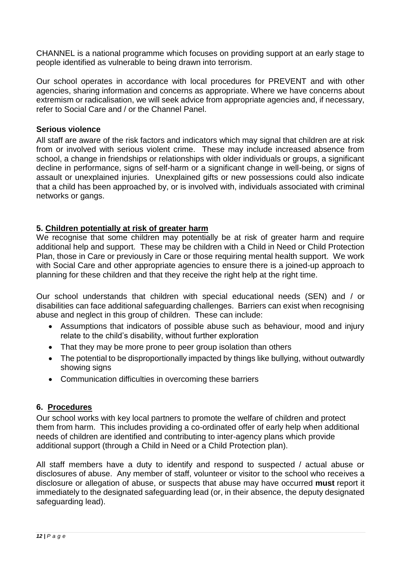CHANNEL is a national programme which focuses on providing support at an early stage to people identified as vulnerable to being drawn into terrorism.

Our school operates in accordance with local procedures for PREVENT and with other agencies, sharing information and concerns as appropriate. Where we have concerns about extremism or radicalisation, we will seek advice from appropriate agencies and, if necessary, refer to Social Care and / or the Channel Panel.

## **Serious violence**

All staff are aware of the risk factors and indicators which may signal that children are at risk from or involved with serious violent crime. These may include increased absence from school, a change in friendships or relationships with older individuals or groups, a significant decline in performance, signs of self-harm or a significant change in well-being, or signs of assault or unexplained injuries. Unexplained gifts or new possessions could also indicate that a child has been approached by, or is involved with, individuals associated with criminal networks or gangs.

## **5. Children potentially at risk of greater harm**

We recognise that some children may potentially be at risk of greater harm and require additional help and support. These may be children with a Child in Need or Child Protection Plan, those in Care or previously in Care or those requiring mental health support. We work with Social Care and other appropriate agencies to ensure there is a joined-up approach to planning for these children and that they receive the right help at the right time.

Our school understands that children with special educational needs (SEN) and / or disabilities can face additional safeguarding challenges. Barriers can exist when recognising abuse and neglect in this group of children. These can include:

- Assumptions that indicators of possible abuse such as behaviour, mood and injury relate to the child's disability, without further exploration
- That they may be more prone to peer group isolation than others
- The potential to be disproportionally impacted by things like bullying, without outwardly showing signs
- Communication difficulties in overcoming these barriers

#### **6. Procedures**

Our school works with key local partners to promote the welfare of children and protect them from harm. This includes providing a co-ordinated offer of early help when additional needs of children are identified and contributing to inter-agency plans which provide additional support (through a Child in Need or a Child Protection plan).

All staff members have a duty to identify and respond to suspected / actual abuse or disclosures of abuse. Any member of staff, volunteer or visitor to the school who receives a disclosure or allegation of abuse, or suspects that abuse may have occurred **must** report it immediately to the designated safeguarding lead (or, in their absence, the deputy designated safeguarding lead).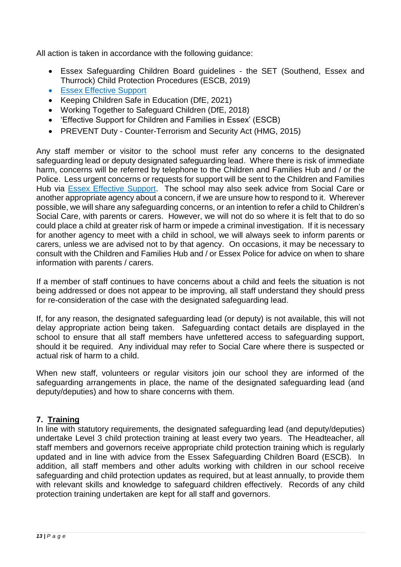All action is taken in accordance with the following guidance:

- Essex Safeguarding Children Board guidelines the SET (Southend, Essex and Thurrock) Child Protection Procedures (ESCB, 2019)
- [Essex Effective Support](https://www.essex.gov.uk/report-a-concern-about-a-child)
- Keeping Children Safe in Education (DfE, 2021)
- Working Together to Safeguard Children (DfE, 2018)
- 'Effective Support for Children and Families in Essex' (ESCB)
- PREVENT Duty Counter-Terrorism and Security Act (HMG, 2015)

Any staff member or visitor to the school must refer any concerns to the designated safeguarding lead or deputy designated safeguarding lead. Where there is risk of immediate harm, concerns will be referred by telephone to the Children and Families Hub and / or the Police. Less urgent concerns or requests for support will be sent to the Children and Families Hub via [Essex Effective Support.](https://www.essex.gov.uk/report-a-concern-about-a-child) The school may also seek advice from Social Care or another appropriate agency about a concern, if we are unsure how to respond to it. Wherever possible, we will share any safeguarding concerns, or an intention to refer a child to Children's Social Care, with parents or carers. However, we will not do so where it is felt that to do so could place a child at greater risk of harm or impede a criminal investigation. If it is necessary for another agency to meet with a child in school, we will always seek to inform parents or carers, unless we are advised not to by that agency. On occasions, it may be necessary to consult with the Children and Families Hub and / or Essex Police for advice on when to share information with parents / carers.

If a member of staff continues to have concerns about a child and feels the situation is not being addressed or does not appear to be improving, all staff understand they should press for re-consideration of the case with the designated safeguarding lead.

If, for any reason, the designated safeguarding lead (or deputy) is not available, this will not delay appropriate action being taken. Safeguarding contact details are displayed in the school to ensure that all staff members have unfettered access to safeguarding support, should it be required. Any individual may refer to Social Care where there is suspected or actual risk of harm to a child.

When new staff, volunteers or regular visitors join our school they are informed of the safeguarding arrangements in place, the name of the designated safeguarding lead (and deputy/deputies) and how to share concerns with them.

# **7. Training**

In line with statutory requirements, the designated safeguarding lead (and deputy/deputies) undertake Level 3 child protection training at least every two years. The Headteacher, all staff members and governors receive appropriate child protection training which is regularly updated and in line with advice from the Essex Safeguarding Children Board (ESCB). In addition, all staff members and other adults working with children in our school receive safeguarding and child protection updates as required, but at least annually, to provide them with relevant skills and knowledge to safeguard children effectively. Records of any child protection training undertaken are kept for all staff and governors.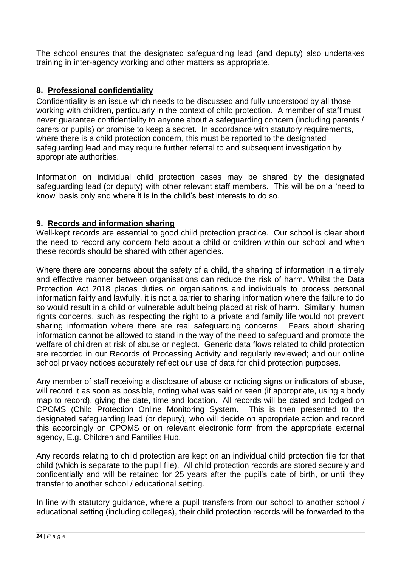The school ensures that the designated safeguarding lead (and deputy) also undertakes training in inter-agency working and other matters as appropriate.

# **8. Professional confidentiality**

Confidentiality is an issue which needs to be discussed and fully understood by all those working with children, particularly in the context of child protection. A member of staff must never guarantee confidentiality to anyone about a safeguarding concern (including parents / carers or pupils) or promise to keep a secret. In accordance with statutory requirements, where there is a child protection concern, this must be reported to the designated safeguarding lead and may require further referral to and subsequent investigation by appropriate authorities.

Information on individual child protection cases may be shared by the designated safeguarding lead (or deputy) with other relevant staff members. This will be on a 'need to know' basis only and where it is in the child's best interests to do so.

# **9. Records and information sharing**

Well-kept records are essential to good child protection practice. Our school is clear about the need to record any concern held about a child or children within our school and when these records should be shared with other agencies.

Where there are concerns about the safety of a child, the sharing of information in a timely and effective manner between organisations can reduce the risk of harm. Whilst the Data Protection Act 2018 places duties on organisations and individuals to process personal information fairly and lawfully, it is not a barrier to sharing information where the failure to do so would result in a child or vulnerable adult being placed at risk of harm. Similarly, human rights concerns, such as respecting the right to a private and family life would not prevent sharing information where there are real safeguarding concerns. Fears about sharing information cannot be allowed to stand in the way of the need to safeguard and promote the welfare of children at risk of abuse or neglect. Generic data flows related to child protection are recorded in our Records of Processing Activity and regularly reviewed; and our online school privacy notices accurately reflect our use of data for child protection purposes.

Any member of staff receiving a disclosure of abuse or noticing signs or indicators of abuse, will record it as soon as possible, noting what was said or seen (if appropriate, using a body map to record), giving the date, time and location. All records will be dated and lodged on CPOMS (Child Protection Online Monitoring System. This is then presented to the designated safeguarding lead (or deputy), who will decide on appropriate action and record this accordingly on CPOMS or on relevant electronic form from the appropriate external agency, E.g. Children and Families Hub.

Any records relating to child protection are kept on an individual child protection file for that child (which is separate to the pupil file). All child protection records are stored securely and confidentially and will be retained for 25 years after the pupil's date of birth, or until they transfer to another school / educational setting.

In line with statutory guidance, where a pupil transfers from our school to another school / educational setting (including colleges), their child protection records will be forwarded to the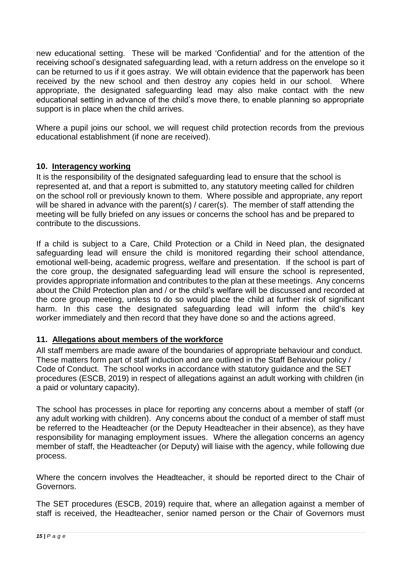new educational setting. These will be marked 'Confidential' and for the attention of the receiving school's designated safeguarding lead, with a return address on the envelope so it can be returned to us if it goes astray. We will obtain evidence that the paperwork has been received by the new school and then destroy any copies held in our school. Where appropriate, the designated safeguarding lead may also make contact with the new educational setting in advance of the child's move there, to enable planning so appropriate support is in place when the child arrives.

Where a pupil joins our school, we will request child protection records from the previous educational establishment (if none are received).

## **10. Interagency working**

It is the responsibility of the designated safeguarding lead to ensure that the school is represented at, and that a report is submitted to, any statutory meeting called for children on the school roll or previously known to them. Where possible and appropriate, any report will be shared in advance with the parent(s) / carer(s). The member of staff attending the meeting will be fully briefed on any issues or concerns the school has and be prepared to contribute to the discussions.

If a child is subject to a Care, Child Protection or a Child in Need plan, the designated safeguarding lead will ensure the child is monitored regarding their school attendance, emotional well-being, academic progress, welfare and presentation. If the school is part of the core group, the designated safeguarding lead will ensure the school is represented, provides appropriate information and contributes to the plan at these meetings. Any concerns about the Child Protection plan and / or the child's welfare will be discussed and recorded at the core group meeting, unless to do so would place the child at further risk of significant harm. In this case the designated safeguarding lead will inform the child's key worker immediately and then record that they have done so and the actions agreed.

# **11. Allegations about members of the workforce**

All staff members are made aware of the boundaries of appropriate behaviour and conduct. These matters form part of staff induction and are outlined in the Staff Behaviour policy / Code of Conduct. The school works in accordance with statutory guidance and the SET procedures (ESCB, 2019) in respect of allegations against an adult working with children (in a paid or voluntary capacity).

The school has processes in place for reporting any concerns about a member of staff (or any adult working with children). Any concerns about the conduct of a member of staff must be referred to the Headteacher (or the Deputy Headteacher in their absence), as they have responsibility for managing employment issues. Where the allegation concerns an agency member of staff, the Headteacher (or Deputy) will liaise with the agency, while following due process.

Where the concern involves the Headteacher, it should be reported direct to the Chair of Governors.

The SET procedures (ESCB, 2019) require that, where an allegation against a member of staff is received, the Headteacher, senior named person or the Chair of Governors must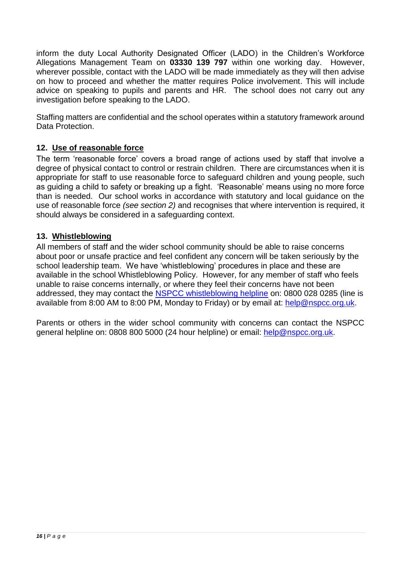inform the duty Local Authority Designated Officer (LADO) in the Children's Workforce Allegations Management Team on **03330 139 797** within one working day. However, wherever possible, contact with the LADO will be made immediately as they will then advise on how to proceed and whether the matter requires Police involvement. This will include advice on speaking to pupils and parents and HR. The school does not carry out any investigation before speaking to the LADO.

Staffing matters are confidential and the school operates within a statutory framework around Data Protection.

# **12. Use of reasonable force**

The term 'reasonable force' covers a broad range of actions used by staff that involve a degree of physical contact to control or restrain children. There are circumstances when it is appropriate for staff to use reasonable force to safeguard children and young people, such as guiding a child to safety or breaking up a fight. 'Reasonable' means using no more force than is needed. Our school works in accordance with statutory and local guidance on the use of reasonable force *(see section 2)* and recognises that where intervention is required, it should always be considered in a safeguarding context.

## **13. Whistleblowing**

All members of staff and the wider school community should be able to raise concerns about poor or unsafe practice and feel confident any concern will be taken seriously by the school leadership team. We have 'whistleblowing' procedures in place and these are available in the school Whistleblowing Policy. However, for any member of staff who feels unable to raise concerns internally, or where they feel their concerns have not been addressed, they may contact the [NSPCC whistleblowing helpline](https://www.nspcc.org.uk/what-you-can-do/report-abuse/dedicated-helplines/whistleblowing-advice-line/) on: 0800 028 0285 (line is available from 8:00 AM to 8:00 PM, Monday to Friday) or by email at: [help@nspcc.org.uk.](mailto:help@nspcc.org.uk)

Parents or others in the wider school community with concerns can contact the NSPCC general helpline on: 0808 800 5000 (24 hour helpline) or email: [help@nspcc.org.uk.](mailto:help@nspcc.org.uk)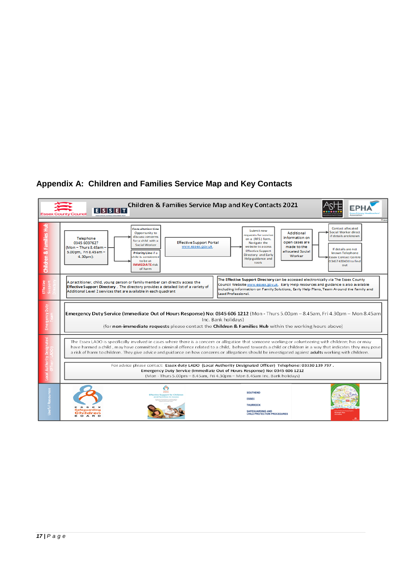## **Appendix A: Children and Families Service Map and Key Contacts**

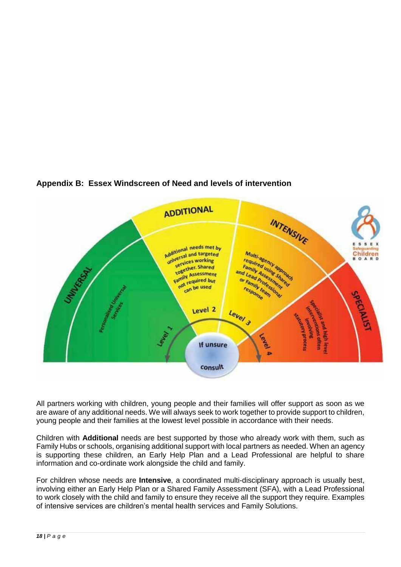

## **Appendix B: Essex Windscreen of Need and levels of intervention**

All partners working with children, young people and their families will offer support as soon as we are aware of any additional needs. We will always seek to work together to provide support to children, young people and their families at the lowest level possible in accordance with their needs.

Children with **Additional** needs are best supported by those who already work with them, such as Family Hubs or schools, organising additional support with local partners as needed. When an agency is supporting these children, an Early Help Plan and a Lead Professional are helpful to share information and co-ordinate work alongside the child and family.

For children whose needs are **Intensive**, a coordinated multi-disciplinary approach is usually best, involving either an Early Help Plan or a Shared Family Assessment (SFA), with a Lead Professional to work closely with the child and family to ensure they receive all the support they require. Examples of intensive services are children's mental health services and Family Solutions.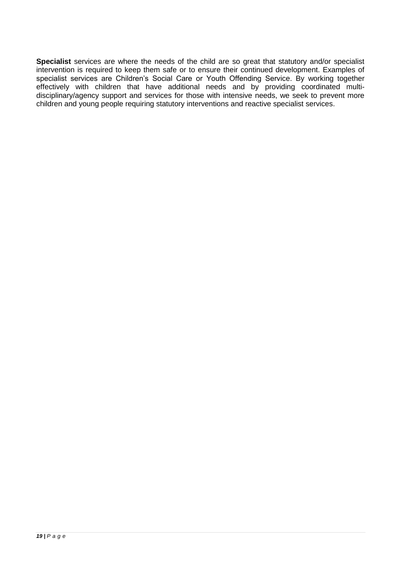**Specialist** services are where the needs of the child are so great that statutory and/or specialist intervention is required to keep them safe or to ensure their continued development. Examples of specialist services are Children's Social Care or Youth Offending Service. By working together effectively with children that have additional needs and by providing coordinated multidisciplinary/agency support and services for those with intensive needs, we seek to prevent more children and young people requiring statutory interventions and reactive specialist services.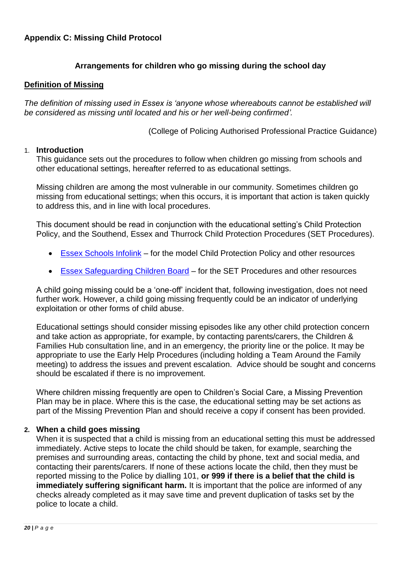# **Arrangements for children who go missing during the school day**

#### **Definition of Missing**

*The definition of missing used in Essex is 'anyone whose whereabouts cannot be established will be considered as missing until located and his or her well-being confirmed'.*

(College of Policing Authorised Professional Practice Guidance)

#### 1. **Introduction**

This guidance sets out the procedures to follow when children go missing from schools and other educational settings, hereafter referred to as educational settings.

Missing children are among the most vulnerable in our community. Sometimes children go missing from educational settings; when this occurs, it is important that action is taken quickly to address this, and in line with local procedures.

This document should be read in conjunction with the educational setting's Child Protection Policy, and the Southend, Essex and Thurrock Child Protection Procedures (SET Procedures).

- [Essex Schools Infolink](https://schools.essex.gov.uk/pupils/Safeguarding/Templates_for_Reporting_and_Recording_Child_Protection_Concerns/Pages/default.aspx) for the model Child Protection Policy and other resources
- [Essex Safeguarding Children Board](https://www.escb.co.uk/) for the SET Procedures and other resources

A child going missing could be a 'one-off' incident that, following investigation, does not need further work. However, a child going missing frequently could be an indicator of underlying exploitation or other forms of child abuse.

Educational settings should consider missing episodes like any other child protection concern and take action as appropriate, for example, by contacting parents/carers, the Children & Families Hub consultation line, and in an emergency, the priority line or the police. It may be appropriate to use the Early Help Procedures (including holding a Team Around the Family meeting) to address the issues and prevent escalation. Advice should be sought and concerns should be escalated if there is no improvement.

Where children missing frequently are open to Children's Social Care, a Missing Prevention Plan may be in place. Where this is the case, the educational setting may be set actions as part of the Missing Prevention Plan and should receive a copy if consent has been provided.

#### **2. When a child goes missing**

When it is suspected that a child is missing from an educational setting this must be addressed immediately. Active steps to locate the child should be taken, for example, searching the premises and surrounding areas, contacting the child by phone, text and social media, and contacting their parents/carers. If none of these actions locate the child, then they must be reported missing to the Police by dialling 101, **or 999 if there is a belief that the child is immediately suffering significant harm.** It is important that the police are informed of any checks already completed as it may save time and prevent duplication of tasks set by the police to locate a child.